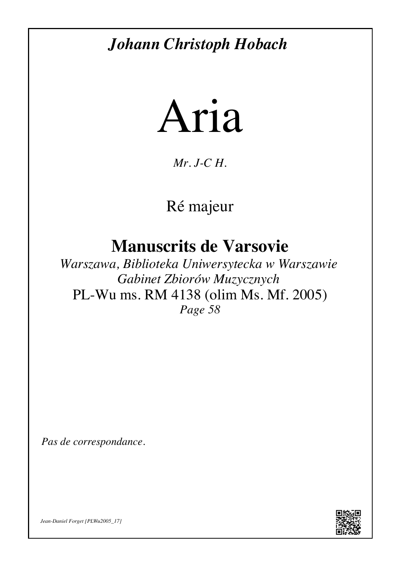## *[Johann Christoph Hobach](http://jdf.luth.pagesperso-orange.fr/Musiques/Les_compositeurs/Autres_compositeurs/Hobach.htm)*



*Mr. J-C H.*

[Ré majeur](#page-3-0)

**Manuscrits de Varsovie**

*Warszawa, Biblioteka Uniwersytecka w Warszawie Gabinet Zbiorów Muzycznych* [PL-Wu ms. RM 4138 \(olim Ms. Mf. 2005\)](http://jdf.luth.pagesperso-orange.fr/Musiques/Les_manuscrits/Varsovie/Les_manuscrits_de_Varsovie.htm#PLWu2005) *Page 58*

*Pas de correspondance.*



*[Jean-Daniel Forget](http://jdf.luth.pagesperso-orange.fr/) [\[PLWu2005\\_17\]](http://dl.dropbox.com/u/60516846/Partitions_pour_luth_baroque/Musiques/Les_manuscrits/Varsovie/PLWu2005/Tablature/PLWu2005_17_Hobach_Aria.pdf)*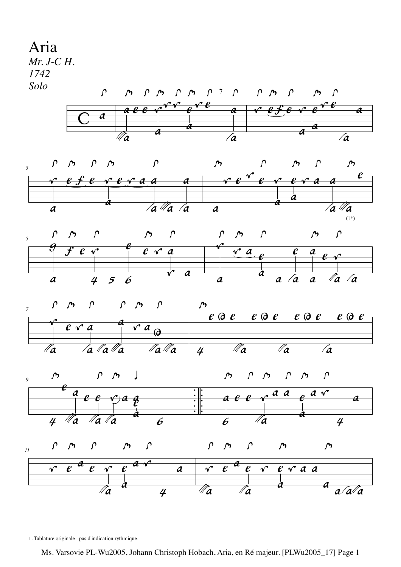<span id="page-1-0"></span>

1. Tablature originale : pas d'indication rythmique.

Ms. Varsovie PL-Wu2005, Johann Christoph Hobach, Aria, en Ré majeur. [PLWu2005\_17] Page 1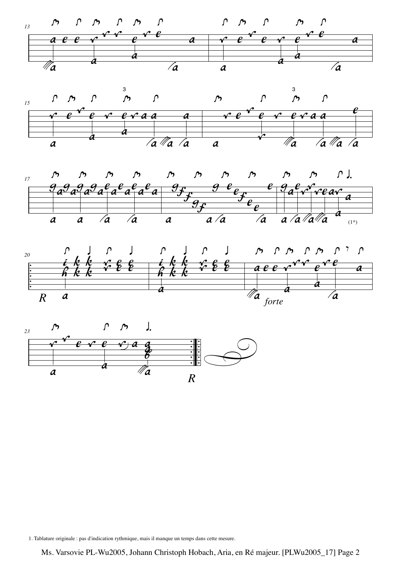









1. Tablature originale : pas d'indication rythmique, mais il manque un temps dans cette mesure.